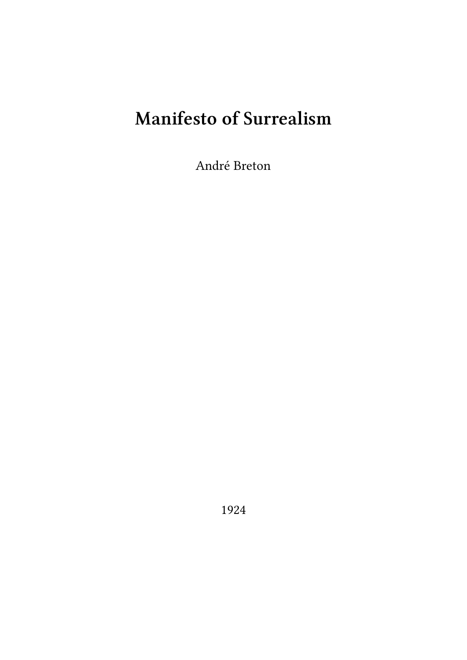# **Manifesto of Surrealism**

André Breton

1924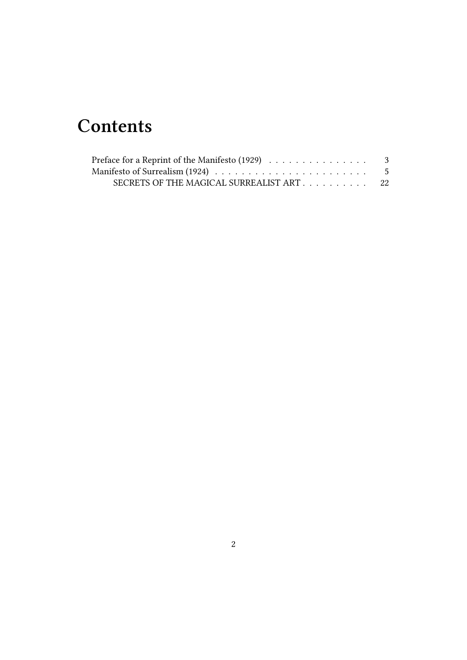## **Contents**

| SECRETS OF THE MAGICAL SURREALIST ART 22 |  |
|------------------------------------------|--|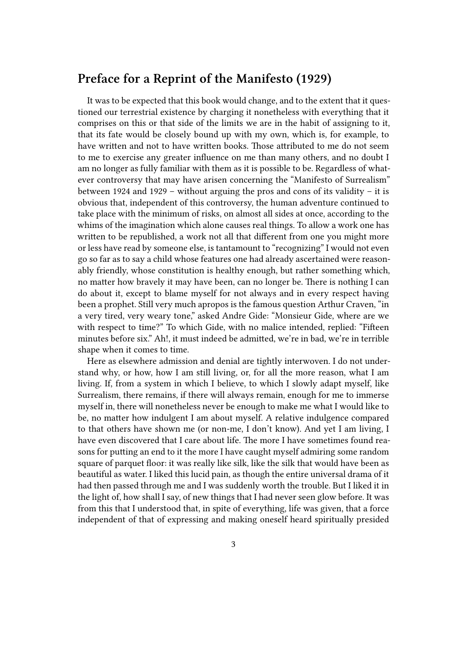### **Preface for a Reprint of the Manifesto (1929)**

It was to be expected that this book would change, and to the extent that it questioned our terrestrial existence by charging it nonetheless with everything that it comprises on this or that side of the limits we are in the habit of assigning to it, that its fate would be closely bound up with my own, which is, for example, to have written and not to have written books. Those attributed to me do not seem to me to exercise any greater influence on me than many others, and no doubt I am no longer as fully familiar with them as it is possible to be. Regardless of whatever controversy that may have arisen concerning the "Manifesto of Surrealism" between 1924 and 1929 – without arguing the pros and cons of its validity – it is obvious that, independent of this controversy, the human adventure continued to take place with the minimum of risks, on almost all sides at once, according to the whims of the imagination which alone causes real things. To allow a work one has written to be republished, a work not all that different from one you might more or less have read by someone else, is tantamount to "recognizing" I would not even go so far as to say a child whose features one had already ascertained were reasonably friendly, whose constitution is healthy enough, but rather something which, no matter how bravely it may have been, can no longer be. There is nothing I can do about it, except to blame myself for not always and in every respect having been a prophet. Still very much apropos is the famous question Arthur Craven, "in a very tired, very weary tone," asked Andre Gide: "Monsieur Gide, where are we with respect to time?" To which Gide, with no malice intended, replied: "Fifteen minutes before six." Ah!, it must indeed be admitted, we're in bad, we're in terrible shape when it comes to time.

Here as elsewhere admission and denial are tightly interwoven. I do not understand why, or how, how I am still living, or, for all the more reason, what I am living. If, from a system in which I believe, to which I slowly adapt myself, like Surrealism, there remains, if there will always remain, enough for me to immerse myself in, there will nonetheless never be enough to make me what I would like to be, no matter how indulgent I am about myself. A relative indulgence compared to that others have shown me (or non-me, I don't know). And yet I am living, I have even discovered that I care about life. The more I have sometimes found reasons for putting an end to it the more I have caught myself admiring some random square of parquet floor: it was really like silk, like the silk that would have been as beautiful as water. I liked this lucid pain, as though the entire universal drama of it had then passed through me and I was suddenly worth the trouble. But I liked it in the light of, how shall I say, of new things that I had never seen glow before. It was from this that I understood that, in spite of everything, life was given, that a force independent of that of expressing and making oneself heard spiritually presided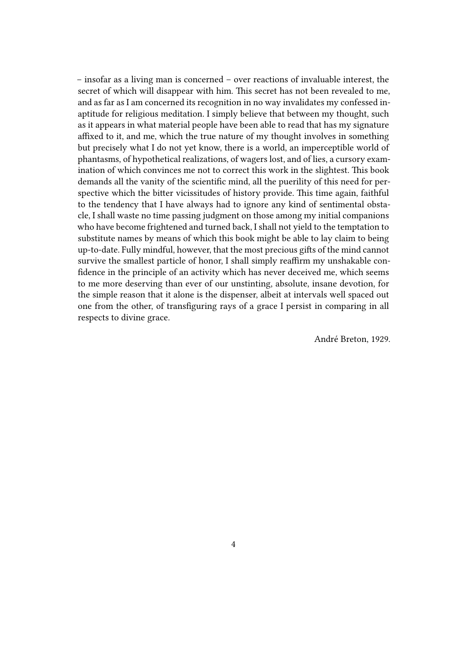– insofar as a living man is concerned – over reactions of invaluable interest, the secret of which will disappear with him. This secret has not been revealed to me, and as far as I am concerned its recognition in no way invalidates my confessed inaptitude for religious meditation. I simply believe that between my thought, such as it appears in what material people have been able to read that has my signature affixed to it, and me, which the true nature of my thought involves in something but precisely what I do not yet know, there is a world, an imperceptible world of phantasms, of hypothetical realizations, of wagers lost, and of lies, a cursory examination of which convinces me not to correct this work in the slightest. This book demands all the vanity of the scientific mind, all the puerility of this need for perspective which the bitter vicissitudes of history provide. This time again, faithful to the tendency that I have always had to ignore any kind of sentimental obstacle, I shall waste no time passing judgment on those among my initial companions who have become frightened and turned back, I shall not yield to the temptation to substitute names by means of which this book might be able to lay claim to being up-to-date. Fully mindful, however, that the most precious gifts of the mind cannot survive the smallest particle of honor, I shall simply reaffirm my unshakable confidence in the principle of an activity which has never deceived me, which seems to me more deserving than ever of our unstinting, absolute, insane devotion, for the simple reason that it alone is the dispenser, albeit at intervals well spaced out one from the other, of transfiguring rays of a grace I persist in comparing in all respects to divine grace.

André Breton, 1929.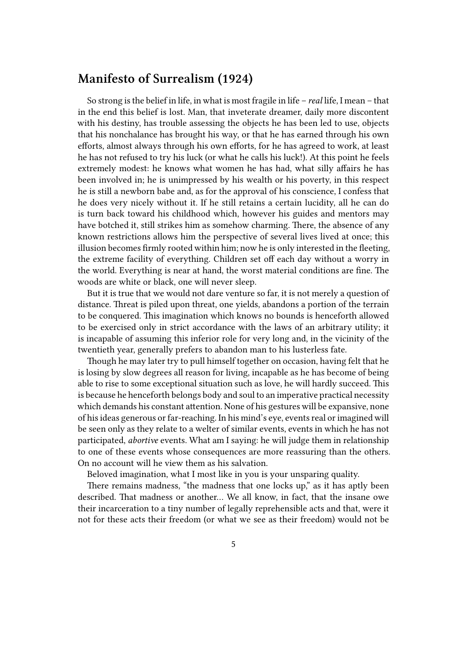### **Manifesto of Surrealism (1924)**

So strong is the belief in life, in what is most fragile in life – *real* life, I mean – that in the end this belief is lost. Man, that inveterate dreamer, daily more discontent with his destiny, has trouble assessing the objects he has been led to use, objects that his nonchalance has brought his way, or that he has earned through his own efforts, almost always through his own efforts, for he has agreed to work, at least he has not refused to try his luck (or what he calls his luck!). At this point he feels extremely modest: he knows what women he has had, what silly affairs he has been involved in; he is unimpressed by his wealth or his poverty, in this respect he is still a newborn babe and, as for the approval of his conscience, I confess that he does very nicely without it. If he still retains a certain lucidity, all he can do is turn back toward his childhood which, however his guides and mentors may have botched it, still strikes him as somehow charming. There, the absence of any known restrictions allows him the perspective of several lives lived at once; this illusion becomes firmly rooted within him; now he is only interested in the fleeting, the extreme facility of everything. Children set off each day without a worry in the world. Everything is near at hand, the worst material conditions are fine. The woods are white or black, one will never sleep.

But it is true that we would not dare venture so far, it is not merely a question of distance. Threat is piled upon threat, one yields, abandons a portion of the terrain to be conquered. This imagination which knows no bounds is henceforth allowed to be exercised only in strict accordance with the laws of an arbitrary utility; it is incapable of assuming this inferior role for very long and, in the vicinity of the twentieth year, generally prefers to abandon man to his lusterless fate.

Though he may later try to pull himself together on occasion, having felt that he is losing by slow degrees all reason for living, incapable as he has become of being able to rise to some exceptional situation such as love, he will hardly succeed. This is because he henceforth belongs body and soul to an imperative practical necessity which demands his constant attention. None of his gestures will be expansive, none of his ideas generous or far-reaching. In his mind's eye, events real or imagined will be seen only as they relate to a welter of similar events, events in which he has not participated, *abortive* events. What am I saying: he will judge them in relationship to one of these events whose consequences are more reassuring than the others. On no account will he view them as his salvation.

Beloved imagination, what I most like in you is your unsparing quality.

There remains madness, "the madness that one locks up," as it has aptly been described. That madness or another… We all know, in fact, that the insane owe their incarceration to a tiny number of legally reprehensible acts and that, were it not for these acts their freedom (or what we see as their freedom) would not be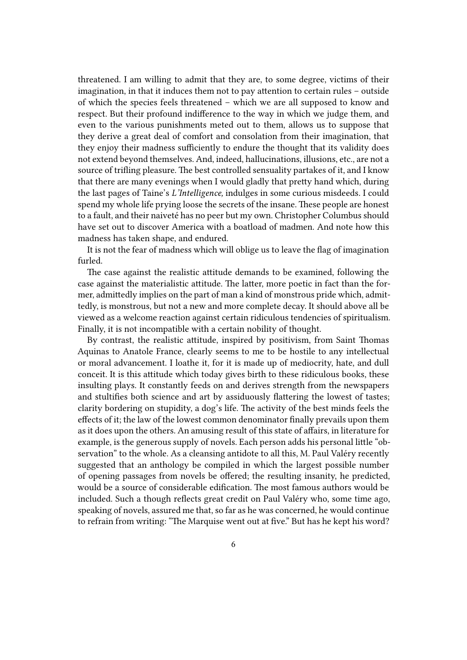threatened. I am willing to admit that they are, to some degree, victims of their imagination, in that it induces them not to pay attention to certain rules – outside of which the species feels threatened – which we are all supposed to know and respect. But their profound indifference to the way in which we judge them, and even to the various punishments meted out to them, allows us to suppose that they derive a great deal of comfort and consolation from their imagination, that they enjoy their madness sufficiently to endure the thought that its validity does not extend beyond themselves. And, indeed, hallucinations, illusions, etc., are not a source of trifling pleasure. The best controlled sensuality partakes of it, and I know that there are many evenings when I would gladly that pretty hand which, during the last pages of Taine's *L'Intelligence,* indulges in some curious misdeeds. I could spend my whole life prying loose the secrets of the insane. These people are honest to a fault, and their naiveté has no peer but my own. Christopher Columbus should have set out to discover America with a boatload of madmen. And note how this madness has taken shape, and endured.

It is not the fear of madness which will oblige us to leave the flag of imagination furled.

The case against the realistic attitude demands to be examined, following the case against the materialistic attitude. The latter, more poetic in fact than the former, admittedly implies on the part of man a kind of monstrous pride which, admittedly, is monstrous, but not a new and more complete decay. It should above all be viewed as a welcome reaction against certain ridiculous tendencies of spiritualism. Finally, it is not incompatible with a certain nobility of thought.

By contrast, the realistic attitude, inspired by positivism, from Saint Thomas Aquinas to Anatole France, clearly seems to me to be hostile to any intellectual or moral advancement. I loathe it, for it is made up of mediocrity, hate, and dull conceit. It is this attitude which today gives birth to these ridiculous books, these insulting plays. It constantly feeds on and derives strength from the newspapers and stultifies both science and art by assiduously flattering the lowest of tastes; clarity bordering on stupidity, a dog's life. The activity of the best minds feels the effects of it; the law of the lowest common denominator finally prevails upon them as it does upon the others. An amusing result of this state of affairs, in literature for example, is the generous supply of novels. Each person adds his personal little "observation" to the whole. As a cleansing antidote to all this, M. Paul Valéry recently suggested that an anthology be compiled in which the largest possible number of opening passages from novels be offered; the resulting insanity, he predicted, would be a source of considerable edification. The most famous authors would be included. Such a though reflects great credit on Paul Valéry who, some time ago, speaking of novels, assured me that, so far as he was concerned, he would continue to refrain from writing: "The Marquise went out at five." But has he kept his word?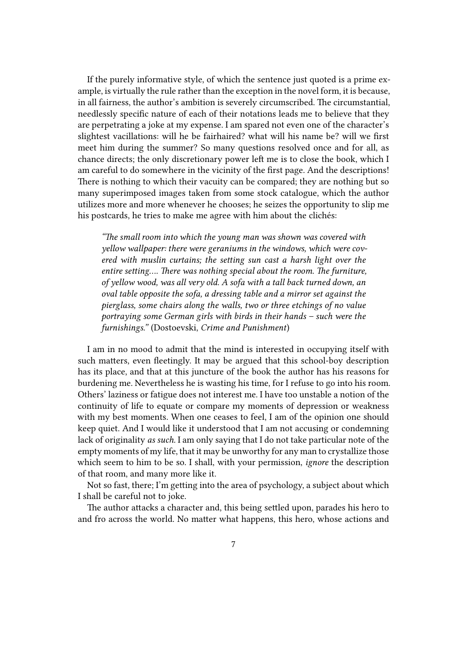If the purely informative style, of which the sentence just quoted is a prime example, is virtually the rule rather than the exception in the novel form, it is because, in all fairness, the author's ambition is severely circumscribed. The circumstantial, needlessly specific nature of each of their notations leads me to believe that they are perpetrating a joke at my expense. I am spared not even one of the character's slightest vacillations: will he be fairhaired? what will his name be? will we first meet him during the summer? So many questions resolved once and for all, as chance directs; the only discretionary power left me is to close the book, which I am careful to do somewhere in the vicinity of the first page. And the descriptions! There is nothing to which their vacuity can be compared; they are nothing but so many superimposed images taken from some stock catalogue, which the author utilizes more and more whenever he chooses; he seizes the opportunity to slip me his postcards, he tries to make me agree with him about the clichés:

*"The small room into which the young man was shown was covered with yellow wallpaper: there were geraniums in the windows, which were covered with muslin curtains; the setting sun cast a harsh light over the entire setting…. There was nothing special about the room. The furniture, of yellow wood, was all very old. A sofa with a tall back turned down, an oval table opposite the sofa, a dressing table and a mirror set against the pierglass, some chairs along the walls, two or three etchings of no value portraying some German girls with birds in their hands – such were the furnishings."* (Dostoevski, *Crime and Punishment*)

I am in no mood to admit that the mind is interested in occupying itself with such matters, even fleetingly. It may be argued that this school-boy description has its place, and that at this juncture of the book the author has his reasons for burdening me. Nevertheless he is wasting his time, for I refuse to go into his room. Others' laziness or fatigue does not interest me. I have too unstable a notion of the continuity of life to equate or compare my moments of depression or weakness with my best moments. When one ceases to feel, I am of the opinion one should keep quiet. And I would like it understood that I am not accusing or condemning lack of originality *as such.* I am only saying that I do not take particular note of the empty moments of my life, that it may be unworthy for any man to crystallize those which seem to him to be so. I shall, with your permission, *ignore* the description of that room, and many more like it.

Not so fast, there; I'm getting into the area of psychology, a subject about which I shall be careful not to joke.

The author attacks a character and, this being settled upon, parades his hero to and fro across the world. No matter what happens, this hero, whose actions and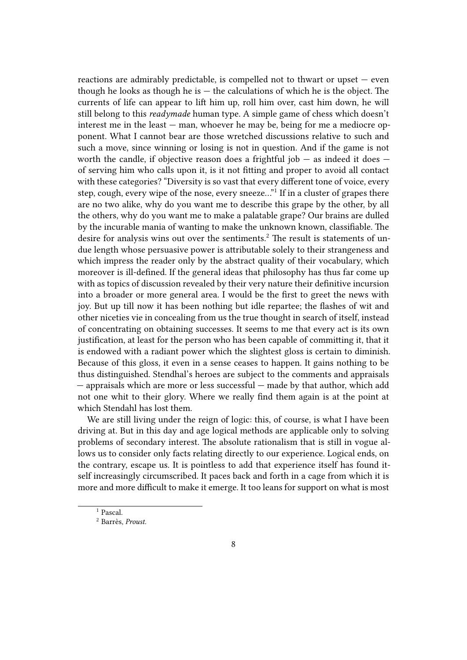reactions are admirably predictable, is compelled not to thwart or upset — even though he looks as though he is  $-$  the calculations of which he is the object. The currents of life can appear to lift him up, roll him over, cast him down, he will still belong to this *readymade* human type. A simple game of chess which doesn't interest me in the least — man, whoever he may be, being for me a mediocre opponent. What I cannot bear are those wretched discussions relative to such and such a move, since winning or losing is not in question. And if the game is not worth the candle, if objective reason does a frightful job  $-$  as indeed it does  $$ of serving him who calls upon it, is it not fitting and proper to avoid all contact with these categories? "Diversity is so vast that every different tone of voice, every step, cough, every wipe of the nose, every sneeze..." $^1$  If in a cluster of grapes there are no two alike, why do you want me to describe this grape by the other, by all the others, why do you want me to make a palatable grape? Our brains are dulled by the incurable mania of wanting to make the unknown known, classifiable. The desire for analysis wins out over the sentiments.<sup>2</sup> The result is statements of undue length whose persuasive power is attributable solely to their strangeness and which impress the reader only by the abstract quality of their vocabulary, which moreover is ill-defined. If the general ideas that philosophy has thus far come up with as topics of discussion revealed by their very nature their definitive incursion into a broader or more general area. I would be the first to greet the news with joy. But up till now it has been nothing but idle repartee; the flashes of wit and other niceties vie in concealing from us the true thought in search of itself, instead of concentrating on obtaining successes. It seems to me that every act is its own justification, at least for the person who has been capable of committing it, that it is endowed with a radiant power which the slightest gloss is certain to diminish. Because of this gloss, it even in a sense ceases to happen. It gains nothing to be thus distinguished. Stendhal's heroes are subject to the comments and appraisals — appraisals which are more or less successful — made by that author, which add not one whit to their glory. Where we really find them again is at the point at which Stendahl has lost them.

We are still living under the reign of logic: this, of course, is what I have been driving at. But in this day and age logical methods are applicable only to solving problems of secondary interest. The absolute rationalism that is still in vogue allows us to consider only facts relating directly to our experience. Logical ends, on the contrary, escape us. It is pointless to add that experience itself has found itself increasingly circumscribed. It paces back and forth in a cage from which it is more and more difficult to make it emerge. It too leans for support on what is most

 $\overline{1}$  Pascal.

<sup>2</sup> Barrès, *Proust.*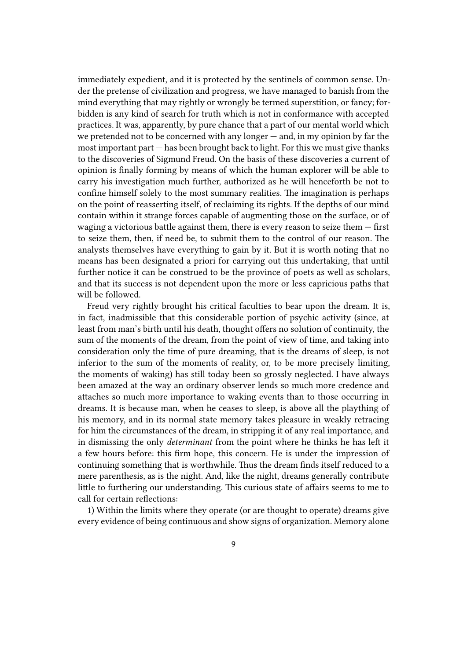immediately expedient, and it is protected by the sentinels of common sense. Under the pretense of civilization and progress, we have managed to banish from the mind everything that may rightly or wrongly be termed superstition, or fancy; forbidden is any kind of search for truth which is not in conformance with accepted practices. It was, apparently, by pure chance that a part of our mental world which we pretended not to be concerned with any longer — and, in my opinion by far the most important part — has been brought back to light. For this we must give thanks to the discoveries of Sigmund Freud. On the basis of these discoveries a current of opinion is finally forming by means of which the human explorer will be able to carry his investigation much further, authorized as he will henceforth be not to confine himself solely to the most summary realities. The imagination is perhaps on the point of reasserting itself, of reclaiming its rights. If the depths of our mind contain within it strange forces capable of augmenting those on the surface, or of waging a victorious battle against them, there is every reason to seize them — first to seize them, then, if need be, to submit them to the control of our reason. The analysts themselves have everything to gain by it. But it is worth noting that no means has been designated a priori for carrying out this undertaking, that until further notice it can be construed to be the province of poets as well as scholars, and that its success is not dependent upon the more or less capricious paths that will be followed.

Freud very rightly brought his critical faculties to bear upon the dream. It is, in fact, inadmissible that this considerable portion of psychic activity (since, at least from man's birth until his death, thought offers no solution of continuity, the sum of the moments of the dream, from the point of view of time, and taking into consideration only the time of pure dreaming, that is the dreams of sleep, is not inferior to the sum of the moments of reality, or, to be more precisely limiting, the moments of waking) has still today been so grossly neglected. I have always been amazed at the way an ordinary observer lends so much more credence and attaches so much more importance to waking events than to those occurring in dreams. It is because man, when he ceases to sleep, is above all the plaything of his memory, and in its normal state memory takes pleasure in weakly retracing for him the circumstances of the dream, in stripping it of any real importance, and in dismissing the only *determinant* from the point where he thinks he has left it a few hours before: this firm hope, this concern. He is under the impression of continuing something that is worthwhile. Thus the dream finds itself reduced to a mere parenthesis, as is the night. And, like the night, dreams generally contribute little to furthering our understanding. This curious state of affairs seems to me to call for certain reflections:

1) Within the limits where they operate (or are thought to operate) dreams give every evidence of being continuous and show signs of organization. Memory alone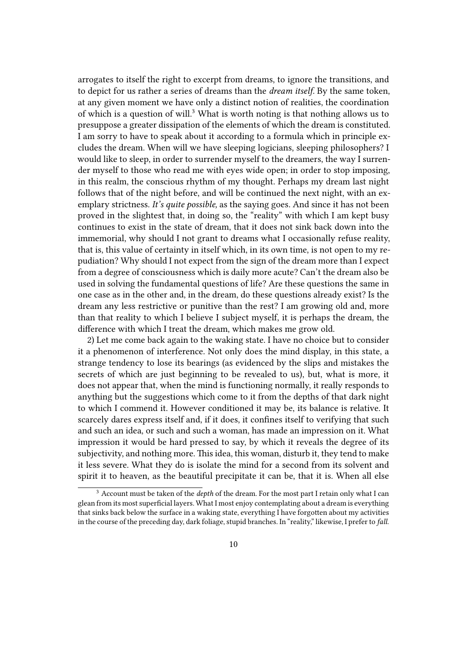arrogates to itself the right to excerpt from dreams, to ignore the transitions, and to depict for us rather a series of dreams than the *dream itself.* By the same token, at any given moment we have only a distinct notion of realities, the coordination of which is a question of will.<sup>3</sup> What is worth noting is that nothing allows us to presuppose a greater dissipation of the elements of which the dream is constituted. I am sorry to have to speak about it according to a formula which in principle excludes the dream. When will we have sleeping logicians, sleeping philosophers? I would like to sleep, in order to surrender myself to the dreamers, the way I surrender myself to those who read me with eyes wide open; in order to stop imposing, in this realm, the conscious rhythm of my thought. Perhaps my dream last night follows that of the night before, and will be continued the next night, with an exemplary strictness. *It's quite possible,* as the saying goes. And since it has not been proved in the slightest that, in doing so, the "reality" with which I am kept busy continues to exist in the state of dream, that it does not sink back down into the immemorial, why should I not grant to dreams what I occasionally refuse reality, that is, this value of certainty in itself which, in its own time, is not open to my repudiation? Why should I not expect from the sign of the dream more than I expect from a degree of consciousness which is daily more acute? Can't the dream also be used in solving the fundamental questions of life? Are these questions the same in one case as in the other and, in the dream, do these questions already exist? Is the dream any less restrictive or punitive than the rest? I am growing old and, more than that reality to which I believe I subject myself, it is perhaps the dream, the difference with which I treat the dream, which makes me grow old.

2) Let me come back again to the waking state. I have no choice but to consider it a phenomenon of interference. Not only does the mind display, in this state, a strange tendency to lose its bearings (as evidenced by the slips and mistakes the secrets of which are just beginning to be revealed to us), but, what is more, it does not appear that, when the mind is functioning normally, it really responds to anything but the suggestions which come to it from the depths of that dark night to which I commend it. However conditioned it may be, its balance is relative. It scarcely dares express itself and, if it does, it confines itself to verifying that such and such an idea, or such and such a woman, has made an impression on it. What impression it would be hard pressed to say, by which it reveals the degree of its subjectivity, and nothing more. This idea, this woman, disturb it, they tend to make it less severe. What they do is isolate the mind for a second from its solvent and spirit it to heaven, as the beautiful precipitate it can be, that it is. When all else

<sup>3</sup> Account must be taken of the *depth* of the dream. For the most part I retain only what I can glean from its most superficial layers. What I most enjoy contemplating about a dream is everything that sinks back below the surface in a waking state, everything I have forgotten about my activities in the course of the preceding day, dark foliage, stupid branches. In "reality," likewise, I prefer to *fall.*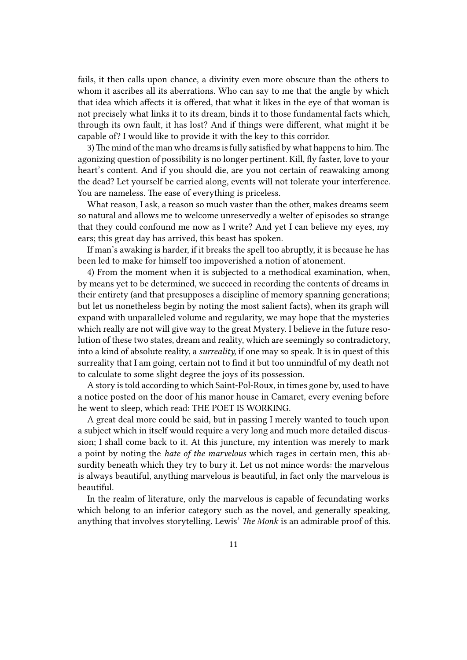fails, it then calls upon chance, a divinity even more obscure than the others to whom it ascribes all its aberrations. Who can say to me that the angle by which that idea which affects it is offered, that what it likes in the eye of that woman is not precisely what links it to its dream, binds it to those fundamental facts which, through its own fault, it has lost? And if things were different, what might it be capable of? I would like to provide it with the key to this corridor.

3)The mind of the man who dreams is fully satisfied by what happens to him.The agonizing question of possibility is no longer pertinent. Kill, fly faster, love to your heart's content. And if you should die, are you not certain of reawaking among the dead? Let yourself be carried along, events will not tolerate your interference. You are nameless. The ease of everything is priceless.

What reason, I ask, a reason so much vaster than the other, makes dreams seem so natural and allows me to welcome unreservedly a welter of episodes so strange that they could confound me now as I write? And yet I can believe my eyes, my ears; this great day has arrived, this beast has spoken.

If man's awaking is harder, if it breaks the spell too abruptly, it is because he has been led to make for himself too impoverished a notion of atonement.

4) From the moment when it is subjected to a methodical examination, when, by means yet to be determined, we succeed in recording the contents of dreams in their entirety (and that presupposes a discipline of memory spanning generations; but let us nonetheless begin by noting the most salient facts), when its graph will expand with unparalleled volume and regularity, we may hope that the mysteries which really are not will give way to the great Mystery. I believe in the future resolution of these two states, dream and reality, which are seemingly so contradictory, into a kind of absolute reality, a *surreality,* if one may so speak. It is in quest of this surreality that I am going, certain not to find it but too unmindful of my death not to calculate to some slight degree the joys of its possession.

A story is told according to which Saint-Pol-Roux, in times gone by, used to have a notice posted on the door of his manor house in Camaret, every evening before he went to sleep, which read: THE POET IS WORKING.

A great deal more could be said, but in passing I merely wanted to touch upon a subject which in itself would require a very long and much more detailed discussion; I shall come back to it. At this juncture, my intention was merely to mark a point by noting the *hate of the marvelous* which rages in certain men, this absurdity beneath which they try to bury it. Let us not mince words: the marvelous is always beautiful, anything marvelous is beautiful, in fact only the marvelous is beautiful.

In the realm of literature, only the marvelous is capable of fecundating works which belong to an inferior category such as the novel, and generally speaking, anything that involves storytelling. Lewis' *The Monk* is an admirable proof of this.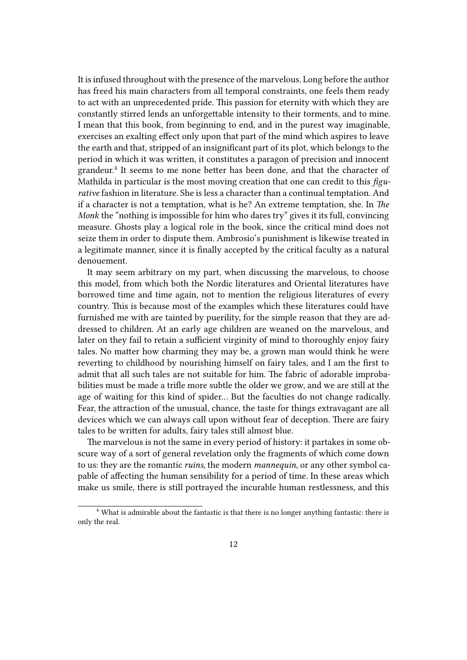It is infused throughout with the presence of the marvelous. Long before the author has freed his main characters from all temporal constraints, one feels them ready to act with an unprecedented pride. This passion for eternity with which they are constantly stirred lends an unforgettable intensity to their torments, and to mine. I mean that this book, from beginning to end, and in the purest way imaginable, exercises an exalting effect only upon that part of the mind which aspires to leave the earth and that, stripped of an insignificant part of its plot, which belongs to the period in which it was written, it constitutes a paragon of precision and innocent grandeur.<sup>4</sup> It seems to me none better has been done, and that the character of Mathilda in particular is the most moving creation that one can credit to this *figurative* fashion in literature. She is less a character than a continual temptation. And if a character is not a temptation, what is he? An extreme temptation, she. In *The Monk* the "nothing is impossible for him who dares try" gives it its full, convincing measure. Ghosts play a logical role in the book, since the critical mind does not seize them in order to dispute them. Ambrosio's punishment is likewise treated in a legitimate manner, since it is finally accepted by the critical faculty as a natural denouement.

It may seem arbitrary on my part, when discussing the marvelous, to choose this model, from which both the Nordic literatures and Oriental literatures have borrowed time and time again, not to mention the religious literatures of every country. This is because most of the examples which these literatures could have furnished me with are tainted by puerility, for the simple reason that they are addressed to children. At an early age children are weaned on the marvelous, and later on they fail to retain a sufficient virginity of mind to thoroughly enjoy fairy tales. No matter how charming they may be, a grown man would think he were reverting to childhood by nourishing himself on fairy tales, and I am the first to admit that all such tales are not suitable for him. The fabric of adorable improbabilities must be made a trifle more subtle the older we grow, and we are still at the age of waiting for this kind of spider… But the faculties do not change radically. Fear, the attraction of the unusual, chance, the taste for things extravagant are all devices which we can always call upon without fear of deception. There are fairy tales to be written for adults, fairy tales still almost blue.

The marvelous is not the same in every period of history: it partakes in some obscure way of a sort of general revelation only the fragments of which come down to us: they are the romantic *ruins,* the modern *mannequin,* or any other symbol capable of affecting the human sensibility for a period of time. In these areas which make us smile, there is still portrayed the incurable human restlessness, and this

<sup>4</sup> What is admirable about the fantastic is that there is no longer anything fantastic: there is only the real.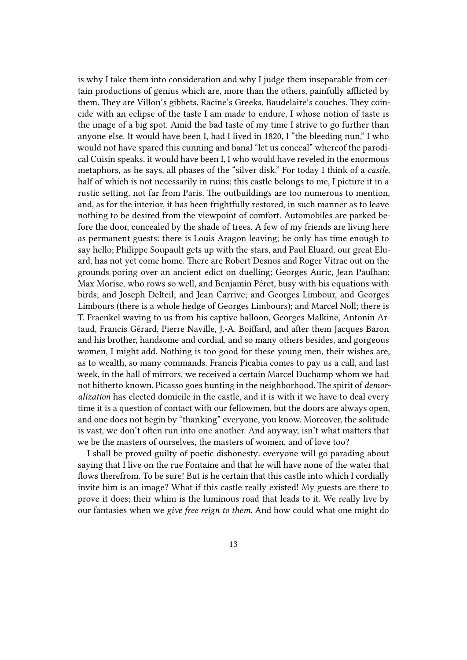is why I take them into consideration and why I judge them inseparable from certain productions of genius which are, more than the others, painfully afflicted by them. They are Villon's gibbets, Racine's Greeks, Baudelaire's couches. They coincide with an eclipse of the taste I am made to endure, I whose notion of taste is the image of a big spot. Amid the bad taste of my time I strive to go further than anyone else. It would have been I, had I lived in 1820, I "the bleeding nun," I who would not have spared this cunning and banal "let us conceal" whereof the parodical Cuisin speaks, it would have been I, I who would have reveled in the enormous metaphors, as he says, all phases of the "silver disk." For today I think of a *castle,* half of which is not necessarily in ruins; this castle belongs to me, I picture it in a rustic setting, not far from Paris. The outbuildings are too numerous to mention, and, as for the interior, it has been frightfully restored, in such manner as to leave nothing to be desired from the viewpoint of comfort. Automobiles are parked before the door, concealed by the shade of trees. A few of my friends are living here as permanent guests: there is Louis Aragon leaving; he only has time enough to say hello; Philippe Soupault gets up with the stars, and Paul Eluard, our great Eluard, has not yet come home. There are Robert Desnos and Roger Vitrac out on the grounds poring over an ancient edict on duelling; Georges Auric, Jean Paulhan; Max Morise, who rows so well, and Benjamin Péret, busy with his equations with birds; and Joseph Delteil; and Jean Carrive; and Georges Limbour, and Georges Limbours (there is a whole hedge of Georges Limbours); and Marcel Noll; there is T. Fraenkel waving to us from his captive balloon, Georges Malkine, Antonin Artaud, Francis Gérard, Pierre Naville, J.-A. Boiffard, and after them Jacques Baron and his brother, handsome and cordial, and so many others besides, and gorgeous women, I might add. Nothing is too good for these young men, their wishes are, as to wealth, so many commands. Francis Picabia comes to pay us a call, and last week, in the hall of mirrors, we received a certain Marcel Duchamp whom we had not hitherto known. Picasso goes hunting in the neighborhood. The spirit of *demoralization* has elected domicile in the castle, and it is with it we have to deal every time it is a question of contact with our fellowmen, but the doors are always open, and one does not begin by "thanking" everyone, you know. Moreover, the solitude is vast, we don't often run into one another. And anyway, isn't what matters that we be the masters of ourselves, the masters of women, and of love too?

I shall be proved guilty of poetic dishonesty: everyone will go parading about saying that I live on the rue Fontaine and that he will have none of the water that flows therefrom. To be sure! But is he certain that this castle into which I cordially invite him is an image? What if this castle really existed! My guests are there to prove it does; their whim is the luminous road that leads to it. We really live by our fantasies when we *give free reign to them.* And how could what one might do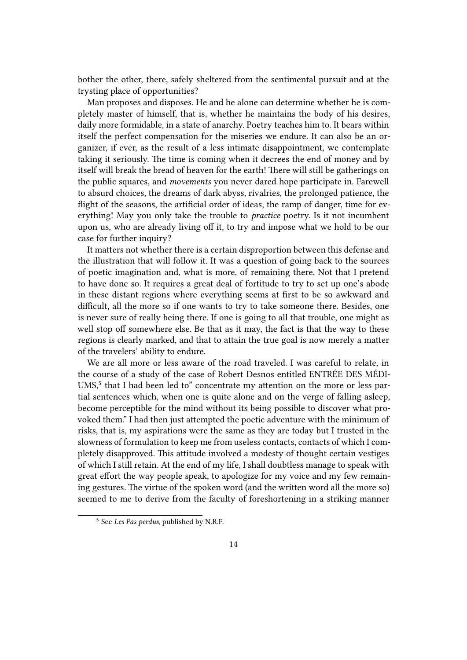bother the other, there, safely sheltered from the sentimental pursuit and at the trysting place of opportunities?

Man proposes and disposes. He and he alone can determine whether he is completely master of himself, that is, whether he maintains the body of his desires, daily more formidable, in a state of anarchy. Poetry teaches him to. It bears within itself the perfect compensation for the miseries we endure. It can also be an organizer, if ever, as the result of a less intimate disappointment, we contemplate taking it seriously. The time is coming when it decrees the end of money and by itself will break the bread of heaven for the earth! There will still be gatherings on the public squares, and *movements* you never dared hope participate in. Farewell to absurd choices, the dreams of dark abyss, rivalries, the prolonged patience, the flight of the seasons, the artificial order of ideas, the ramp of danger, time for everything! May you only take the trouble to *practice* poetry. Is it not incumbent upon us, who are already living off it, to try and impose what we hold to be our case for further inquiry?

It matters not whether there is a certain disproportion between this defense and the illustration that will follow it. It was a question of going back to the sources of poetic imagination and, what is more, of remaining there. Not that I pretend to have done so. It requires a great deal of fortitude to try to set up one's abode in these distant regions where everything seems at first to be so awkward and difficult, all the more so if one wants to try to take someone there. Besides, one is never sure of really being there. If one is going to all that trouble, one might as well stop off somewhere else. Be that as it may, the fact is that the way to these regions is clearly marked, and that to attain the true goal is now merely a matter of the travelers' ability to endure.

We are all more or less aware of the road traveled. I was careful to relate, in the course of a study of the case of Robert Desnos entitled ENTRÉE DES MÉDI-UMS,<sup>5</sup> that I had been led to" concentrate my attention on the more or less partial sentences which, when one is quite alone and on the verge of falling asleep, become perceptible for the mind without its being possible to discover what provoked them." I had then just attempted the poetic adventure with the minimum of risks, that is, my aspirations were the same as they are today but I trusted in the slowness of formulation to keep me from useless contacts, contacts of which I completely disapproved. This attitude involved a modesty of thought certain vestiges of which I still retain. At the end of my life, I shall doubtless manage to speak with great effort the way people speak, to apologize for my voice and my few remaining gestures. The virtue of the spoken word (and the written word all the more so) seemed to me to derive from the faculty of foreshortening in a striking manner

<sup>5</sup> See *Les Pas perdus,* published by N.R.F.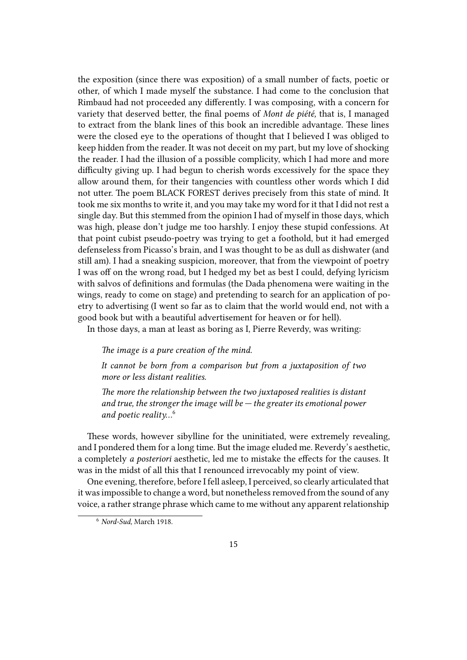the exposition (since there was exposition) of a small number of facts, poetic or other, of which I made myself the substance. I had come to the conclusion that Rimbaud had not proceeded any differently. I was composing, with a concern for variety that deserved better, the final poems of *Mont de piété,* that is, I managed to extract from the blank lines of this book an incredible advantage. These lines were the closed eye to the operations of thought that I believed I was obliged to keep hidden from the reader. It was not deceit on my part, but my love of shocking the reader. I had the illusion of a possible complicity, which I had more and more difficulty giving up. I had begun to cherish words excessively for the space they allow around them, for their tangencies with countless other words which I did not utter. The poem BLACK FOREST derives precisely from this state of mind. It took me six months to write it, and you may take my word for it that I did not rest a single day. But this stemmed from the opinion I had of myself in those days, which was high, please don't judge me too harshly. I enjoy these stupid confessions. At that point cubist pseudo-poetry was trying to get a foothold, but it had emerged defenseless from Picasso's brain, and I was thought to be as dull as dishwater (and still am). I had a sneaking suspicion, moreover, that from the viewpoint of poetry I was off on the wrong road, but I hedged my bet as best I could, defying lyricism with salvos of definitions and formulas (the Dada phenomena were waiting in the wings, ready to come on stage) and pretending to search for an application of poetry to advertising (I went so far as to claim that the world would end, not with a good book but with a beautiful advertisement for heaven or for hell).

In those days, a man at least as boring as I, Pierre Reverdy, was writing:

#### *The image is a pure creation of the mind.*

*It cannot be born from a comparison but from a juxtaposition of two more or less distant realities.*

*The more the relationship between the two juxtaposed realities is distant and true, the stronger the image will be — the greater its emotional power and poetic reality…*<sup>6</sup>

These words, however sibylline for the uninitiated, were extremely revealing, and I pondered them for a long time. But the image eluded me. Reverdy's aesthetic, a completely *a posteriori* aesthetic, led me to mistake the effects for the causes. It was in the midst of all this that I renounced irrevocably my point of view.

One evening, therefore, before I fell asleep, I perceived, so clearly articulated that it was impossible to change a word, but nonetheless removed from the sound of any voice, a rather strange phrase which came to me without any apparent relationship

<sup>6</sup> *Nord-Sud,* March 1918.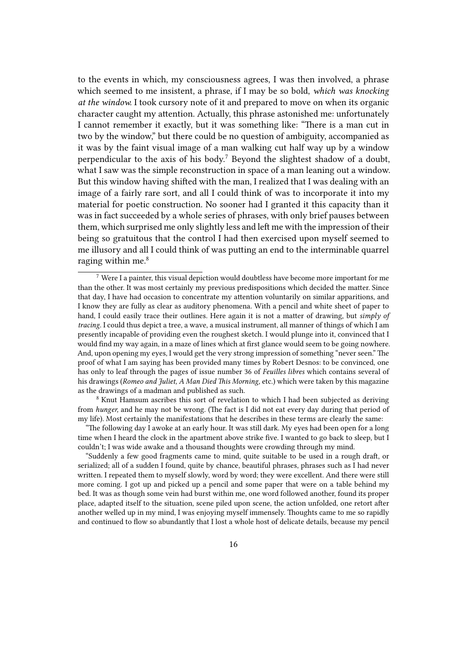to the events in which, my consciousness agrees, I was then involved, a phrase which seemed to me insistent, a phrase, if I may be so bold, *which was knocking at the window.* I took cursory note of it and prepared to move on when its organic character caught my attention. Actually, this phrase astonished me: unfortunately I cannot remember it exactly, but it was something like: "There is a man cut in two by the window," but there could be no question of ambiguity, accompanied as it was by the faint visual image of a man walking cut half way up by a window perpendicular to the axis of his body.<sup>7</sup> Beyond the slightest shadow of a doubt, what I saw was the simple reconstruction in space of a man leaning out a window. But this window having shifted with the man, I realized that I was dealing with an image of a fairly rare sort, and all I could think of was to incorporate it into my material for poetic construction. No sooner had I granted it this capacity than it was in fact succeeded by a whole series of phrases, with only brief pauses between them, which surprised me only slightly less and left me with the impression of their being so gratuitous that the control I had then exercised upon myself seemed to me illusory and all I could think of was putting an end to the interminable quarrel raging within me. $8$ 

<sup>8</sup> Knut Hamsum ascribes this sort of revelation to which I had been subjected as deriving from *hunger,* and he may not be wrong. (The fact is I did not eat every day during that period of my life). Most certainly the manifestations that he describes in these terms are clearly the same:

"The following day I awoke at an early hour. It was still dark. My eyes had been open for a long time when I heard the clock in the apartment above strike five. I wanted to go back to sleep, but I couldn't; I was wide awake and a thousand thoughts were crowding through my mind.

"Suddenly a few good fragments came to mind, quite suitable to be used in a rough draft, or serialized; all of a sudden I found, quite by chance, beautiful phrases, phrases such as I had never written. I repeated them to myself slowly, word by word; they were excellent. And there were still more coming. I got up and picked up a pencil and some paper that were on a table behind my bed. It was as though some vein had burst within me, one word followed another, found its proper place, adapted itself to the situation, scene piled upon scene, the action unfolded, one retort after another welled up in my mind, I was enjoying myself immensely. Thoughts came to me so rapidly and continued to flow so abundantly that I lost a whole host of delicate details, because my pencil

 $^7$  Were I a painter, this visual depiction would doubtless have become more important for me than the other. It was most certainly my previous predispositions which decided the matter. Since that day, I have had occasion to concentrate my attention voluntarily on similar apparitions, and I know they are fully as clear as auditory phenomena. With a pencil and white sheet of paper to hand, I could easily trace their outlines. Here again it is not a matter of drawing, but *simply of tracing.* I could thus depict a tree, a wave, a musical instrument, all manner of things of which I am presently incapable of providing even the roughest sketch. I would plunge into it, convinced that I would find my way again, in a maze of lines which at first glance would seem to be going nowhere. And, upon opening my eyes, I would get the very strong impression of something "never seen." The proof of what I am saying has been provided many times by Robert Desnos: to be convinced, one has only to leaf through the pages of issue number 36 of *Feuilles libres* which contains several of his drawings (*Romeo and Juliet, A Man Died This Morning,* etc.) which were taken by this magazine as the drawings of a madman and published as such.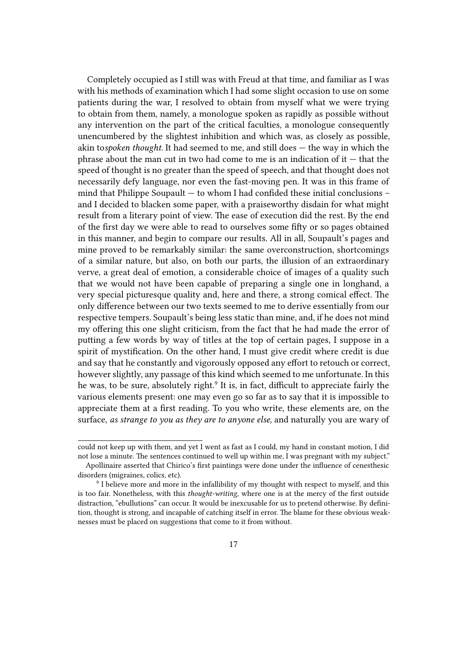Completely occupied as I still was with Freud at that time, and familiar as I was with his methods of examination which I had some slight occasion to use on some patients during the war, I resolved to obtain from myself what we were trying to obtain from them, namely, a monologue spoken as rapidly as possible without any intervention on the part of the critical faculties, a monologue consequently unencumbered by the slightest inhibition and which was, as closely as possible, akin to*spoken thought.* It had seemed to me, and still does — the way in which the phrase about the man cut in two had come to me is an indication of it  $-$  that the speed of thought is no greater than the speed of speech, and that thought does not necessarily defy language, nor even the fast-moving pen. It was in this frame of mind that Philippe Soupault — to whom I had confided these initial conclusions – and I decided to blacken some paper, with a praiseworthy disdain for what might result from a literary point of view. The ease of execution did the rest. By the end of the first day we were able to read to ourselves some fifty or so pages obtained in this manner, and begin to compare our results. All in all, Soupault's pages and mine proved to be remarkably similar: the same overconstruction, shortcomings of a similar nature, but also, on both our parts, the illusion of an extraordinary verve, a great deal of emotion, a considerable choice of images of a quality such that we would not have been capable of preparing a single one in longhand, a very special picturesque quality and, here and there, a strong comical effect. The only difference between our two texts seemed to me to derive essentially from our respective tempers. Soupault's being less static than mine, and, if he does not mind my offering this one slight criticism, from the fact that he had made the error of putting a few words by way of titles at the top of certain pages, I suppose in a spirit of mystification. On the other hand, I must give credit where credit is due and say that he constantly and vigorously opposed any effort to retouch or correct, however slightly, any passage of this kind which seemed to me unfortunate. In this he was, to be sure, absolutely right.<sup>9</sup> It is, in fact, difficult to appreciate fairly the various elements present: one may even go so far as to say that it is impossible to appreciate them at a first reading. To you who write, these elements are, on the surface, *as strange to you as they are to anyone else,* and naturally you are wary of

could not keep up with them, and yet I went as fast as I could, my hand in constant motion, I did not lose a minute. The sentences continued to well up within me, I was pregnant with my subject."

Apollinaire asserted that Chirico's first paintings were done under the influence of cenesthesic disorders (migraines, colics, etc).

<sup>&</sup>lt;sup>9</sup> I believe more and more in the infallibility of my thought with respect to myself, and this is too fair. Nonetheless, with this *thought-writing,* where one is at the mercy of the first outside distraction, "ebullutions" can occur. It would be inexcusable for us to pretend otherwise. By definition, thought is strong, and incapable of catching itself in error. The blame for these obvious weaknesses must be placed on suggestions that come to it from without.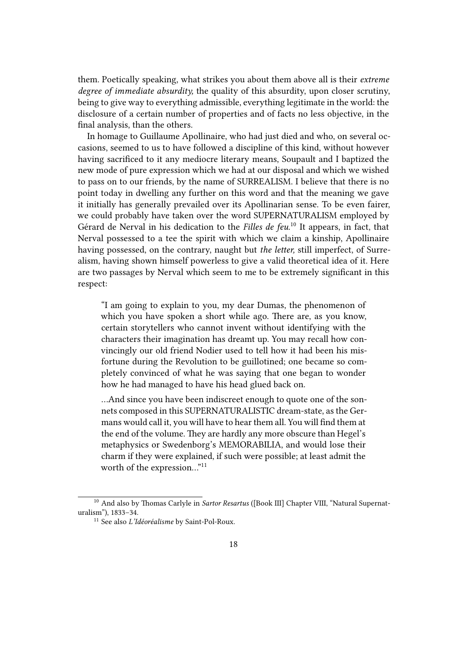them. Poetically speaking, what strikes you about them above all is their *extreme degree of immediate absurdity,* the quality of this absurdity, upon closer scrutiny, being to give way to everything admissible, everything legitimate in the world: the disclosure of a certain number of properties and of facts no less objective, in the final analysis, than the others.

In homage to Guillaume Apollinaire, who had just died and who, on several occasions, seemed to us to have followed a discipline of this kind, without however having sacrificed to it any mediocre literary means, Soupault and I baptized the new mode of pure expression which we had at our disposal and which we wished to pass on to our friends, by the name of SURREALISM. I believe that there is no point today in dwelling any further on this word and that the meaning we gave it initially has generally prevailed over its Apollinarian sense. To be even fairer, we could probably have taken over the word SUPERNATURALISM employed by Gérard de Nerval in his dedication to the *Filles de feu.*<sup>10</sup> It appears, in fact, that Nerval possessed to a tee the spirit with which we claim a kinship, Apollinaire having possessed, on the contrary, naught but *the letter,* still imperfect, of Surrealism, having shown himself powerless to give a valid theoretical idea of it. Here are two passages by Nerval which seem to me to be extremely significant in this respect:

"I am going to explain to you, my dear Dumas, the phenomenon of which you have spoken a short while ago. There are, as you know, certain storytellers who cannot invent without identifying with the characters their imagination has dreamt up. You may recall how convincingly our old friend Nodier used to tell how it had been his misfortune during the Revolution to be guillotined; one became so completely convinced of what he was saying that one began to wonder how he had managed to have his head glued back on.

…And since you have been indiscreet enough to quote one of the sonnets composed in this SUPERNATURALISTIC dream-state, as the Germans would call it, you will have to hear them all. You will find them at the end of the volume. They are hardly any more obscure than Hegel's metaphysics or Swedenborg's MEMORABILIA, and would lose their charm if they were explained, if such were possible; at least admit the worth of the expression..."<sup>11</sup>

<sup>10</sup> And also by Thomas Carlyle in *Sartor Resartus* ([Book III] Chapter VIII, "Natural Supernaturalism"), 1833–34.

<sup>11</sup> See also *L'Idéoréalisme* by Saint-Pol-Roux.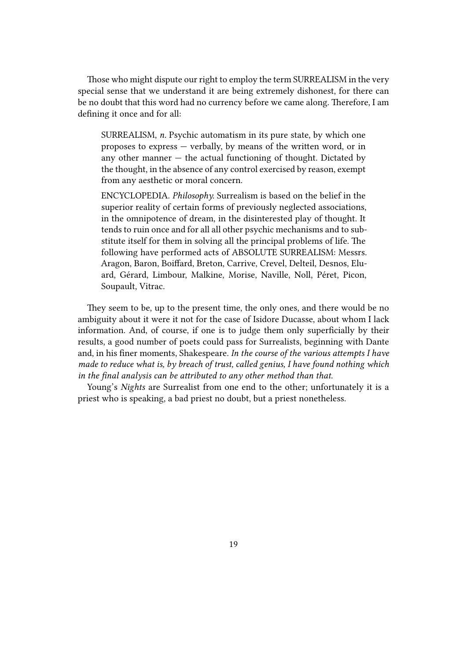Those who might dispute our right to employ the term SURREALISM in the very special sense that we understand it are being extremely dishonest, for there can be no doubt that this word had no currency before we came along. Therefore, I am defining it once and for all:

SURREALISM, *n.* Psychic automatism in its pure state, by which one proposes to express — verbally, by means of the written word, or in any other manner  $-$  the actual functioning of thought. Dictated by the thought, in the absence of any control exercised by reason, exempt from any aesthetic or moral concern.

ENCYCLOPEDIA. *Philosophy.* Surrealism is based on the belief in the superior reality of certain forms of previously neglected associations, in the omnipotence of dream, in the disinterested play of thought. It tends to ruin once and for all all other psychic mechanisms and to substitute itself for them in solving all the principal problems of life. The following have performed acts of ABSOLUTE SURREALISM: Messrs. Aragon, Baron, Boiffard, Breton, Carrive, Crevel, Delteil, Desnos, Eluard, Gérard, Limbour, Malkine, Morise, Naville, Noll, Péret, Picon, Soupault, Vitrac.

They seem to be, up to the present time, the only ones, and there would be no ambiguity about it were it not for the case of Isidore Ducasse, about whom I lack information. And, of course, if one is to judge them only superficially by their results, a good number of poets could pass for Surrealists, beginning with Dante and, in his finer moments, Shakespeare. *In the course of the various attempts I have made to reduce what is, by breach of trust, called genius, I have found nothing which in the final analysis can be attributed to any other method than that.*

Young's *Nights* are Surrealist from one end to the other; unfortunately it is a priest who is speaking, a bad priest no doubt, but a priest nonetheless.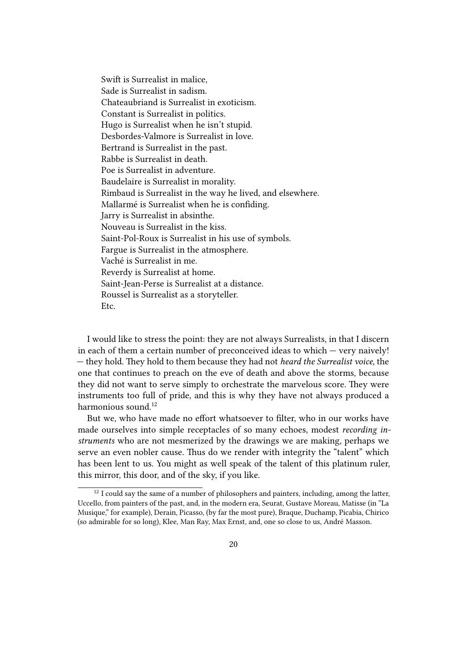Swift is Surrealist in malice, Sade is Surrealist in sadism. Chateaubriand is Surrealist in exoticism. Constant is Surrealist in politics. Hugo is Surrealist when he isn't stupid. Desbordes-Valmore is Surrealist in love. Bertrand is Surrealist in the past. Rabbe is Surrealist in death. Poe is Surrealist in adventure. Baudelaire is Surrealist in morality. Rimbaud is Surrealist in the way he lived, and elsewhere. Mallarmé is Surrealist when he is confiding. Jarry is Surrealist in absinthe. Nouveau is Surrealist in the kiss. Saint-Pol-Roux is Surrealist in his use of symbols. Fargue is Surrealist in the atmosphere. Vaché is Surrealist in me. Reverdy is Surrealist at home. Saint-Jean-Perse is Surrealist at a distance. Roussel is Surrealist as a storyteller. Etc.

I would like to stress the point: they are not always Surrealists, in that I discern in each of them a certain number of preconceived ideas to which — very naively! — they hold. They hold to them because they had not *heard the Surrealist voice,* the one that continues to preach on the eve of death and above the storms, because they did not want to serve simply to orchestrate the marvelous score. They were instruments too full of pride, and this is why they have not always produced a harmonious sound.<sup>12</sup>

But we, who have made no effort whatsoever to filter, who in our works have made ourselves into simple receptacles of so many echoes, modest *recording instruments* who are not mesmerized by the drawings we are making, perhaps we serve an even nobler cause. Thus do we render with integrity the "talent" which has been lent to us. You might as well speak of the talent of this platinum ruler, this mirror, this door, and of the sky, if you like.

 $12$  I could say the same of a number of philosophers and painters, including, among the latter, Uccello, from painters of the past, and, in the modern era, Seurat, Gustave Moreau, Matisse (in "La Musique," for example), Derain, Picasso, (by far the most pure), Braque, Duchamp, Picabia, Chirico (so admirable for so long), Klee, Man Ray, Max Ernst, and, one so close to us, André Masson.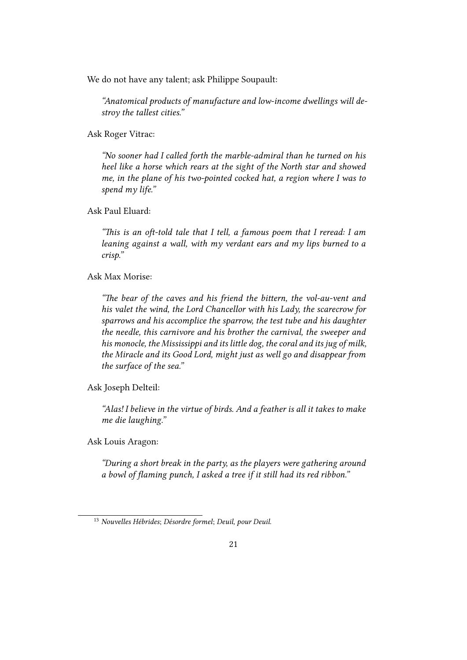We do not have any talent; ask Philippe Soupault:

*"Anatomical products of manufacture and low-income dwellings will destroy the tallest cities."*

Ask Roger Vitrac:

*"No sooner had I called forth the marble-admiral than he turned on his heel like a horse which rears at the sight of the North star and showed me, in the plane of his two-pointed cocked hat, a region where I was to spend my life."*

Ask Paul Eluard:

*"This is an oft-told tale that I tell, a famous poem that I reread: I am leaning against a wall, with my verdant ears and my lips burned to a crisp."*

Ask Max Morise:

*"The bear of the caves and his friend the bittern, the vol-au-vent and his valet the wind, the Lord Chancellor with his Lady, the scarecrow for sparrows and his accomplice the sparrow, the test tube and his daughter the needle, this carnivore and his brother the carnival, the sweeper and his monocle, the Mississippi and its little dog, the coral and its jug of milk, the Miracle and its Good Lord, might just as well go and disappear from the surface of the sea."*

Ask Joseph Delteil:

*"Alas! I believe in the virtue of birds. And a feather is all it takes to make me die laughing."*

Ask Louis Aragon:

*"During a short break in the party, as the players were gathering around a bowl of flaming punch, I asked a tree if it still had its red ribbon."*

<sup>13</sup> *Nouvelles Hébrides*; *Désordre formel*; *Deuil, pour Deuil*.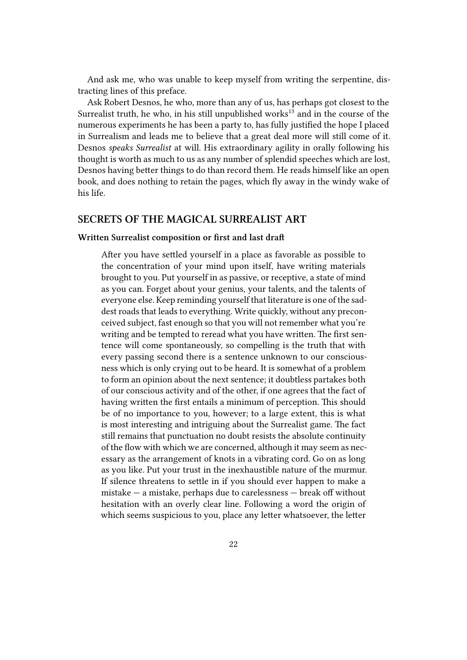And ask me, who was unable to keep myself from writing the serpentine, distracting lines of this preface.

Ask Robert Desnos, he who, more than any of us, has perhaps got closest to the Surrealist truth, he who, in his still unpublished works $^{13}$  and in the course of the numerous experiments he has been a party to, has fully justified the hope I placed in Surrealism and leads me to believe that a great deal more will still come of it. Desnos *speaks Surrealist* at will. His extraordinary agility in orally following his thought is worth as much to us as any number of splendid speeches which are lost, Desnos having better things to do than record them. He reads himself like an open book, and does nothing to retain the pages, which fly away in the windy wake of his life.

#### **SECRETS OF THE MAGICAL SURREALIST ART**

#### **Written Surrealist composition or first and last draft**

After you have settled yourself in a place as favorable as possible to the concentration of your mind upon itself, have writing materials brought to you. Put yourself in as passive, or receptive, a state of mind as you can. Forget about your genius, your talents, and the talents of everyone else. Keep reminding yourself that literature is one of the saddest roads that leads to everything. Write quickly, without any preconceived subject, fast enough so that you will not remember what you're writing and be tempted to reread what you have written. The first sentence will come spontaneously, so compelling is the truth that with every passing second there is a sentence unknown to our consciousness which is only crying out to be heard. It is somewhat of a problem to form an opinion about the next sentence; it doubtless partakes both of our conscious activity and of the other, if one agrees that the fact of having written the first entails a minimum of perception. This should be of no importance to you, however; to a large extent, this is what is most interesting and intriguing about the Surrealist game. The fact still remains that punctuation no doubt resists the absolute continuity of the flow with which we are concerned, although it may seem as necessary as the arrangement of knots in a vibrating cord. Go on as long as you like. Put your trust in the inexhaustible nature of the murmur. If silence threatens to settle in if you should ever happen to make a mistake — a mistake, perhaps due to carelessness — break off without hesitation with an overly clear line. Following a word the origin of which seems suspicious to you, place any letter whatsoever, the letter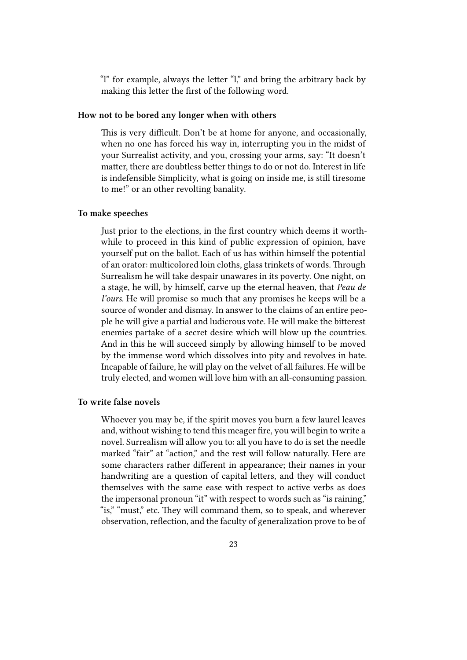"l" for example, always the letter "l," and bring the arbitrary back by making this letter the first of the following word.

#### **How not to be bored any longer when with others**

This is very difficult. Don't be at home for anyone, and occasionally, when no one has forced his way in, interrupting you in the midst of your Surrealist activity, and you, crossing your arms, say: "It doesn't matter, there are doubtless better things to do or not do. Interest in life is indefensible Simplicity, what is going on inside me, is still tiresome to me!" or an other revolting banality.

#### **To make speeches**

Just prior to the elections, in the first country which deems it worthwhile to proceed in this kind of public expression of opinion, have yourself put on the ballot. Each of us has within himself the potential of an orator: multicolored loin cloths, glass trinkets of words. Through Surrealism he will take despair unawares in its poverty. One night, on a stage, he will, by himself, carve up the eternal heaven, that *Peau de l'ours.* He will promise so much that any promises he keeps will be a source of wonder and dismay. In answer to the claims of an entire people he will give a partial and ludicrous vote. He will make the bitterest enemies partake of a secret desire which will blow up the countries. And in this he will succeed simply by allowing himself to be moved by the immense word which dissolves into pity and revolves in hate. Incapable of failure, he will play on the velvet of all failures. He will be truly elected, and women will love him with an all-consuming passion.

#### **To write false novels**

Whoever you may be, if the spirit moves you burn a few laurel leaves and, without wishing to tend this meager fire, you will begin to write a novel. Surrealism will allow you to: all you have to do is set the needle marked "fair" at "action," and the rest will follow naturally. Here are some characters rather different in appearance; their names in your handwriting are a question of capital letters, and they will conduct themselves with the same ease with respect to active verbs as does the impersonal pronoun "it" with respect to words such as "is raining," "is," "must," etc. They will command them, so to speak, and wherever observation, reflection, and the faculty of generalization prove to be of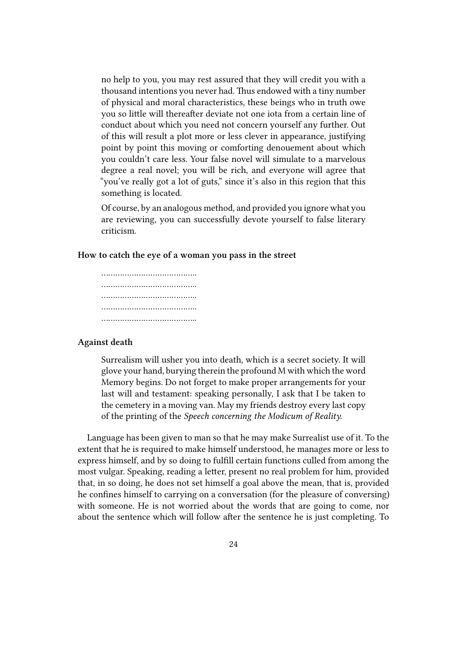no help to you, you may rest assured that they will credit you with a thousand intentions you never had. Thus endowed with a tiny number of physical and moral characteristics, these beings who in truth owe you so little will thereafter deviate not one iota from a certain line of conduct about which you need not concern yourself any further. Out of this will result a plot more or less clever in appearance, justifying point by point this moving or comforting denouement about which you couldn't care less. Your false novel will simulate to a marvelous degree a real novel; you will be rich, and everyone will agree that "you've really got a lot of guts," since it's also in this region that this something is located.

Of course, by an analogous method, and provided you ignore what you are reviewing, you can successfully devote yourself to false literary criticism.

#### **How to catch the eye of a woman you pass in the street**

………………………………….. ………………………………….. ………………………………….. …………………………………… …………………………………..

#### **Against death**

Surrealism will usher you into death, which is a secret society. It will glove your hand, burying therein the profound M with which the word Memory begins. Do not forget to make proper arrangements for your last will and testament: speaking personally, I ask that I be taken to the cemetery in a moving van. May my friends destroy every last copy of the printing of the *Speech concerning the Modicum of Reality.*

Language has been given to man so that he may make Surrealist use of it. To the extent that he is required to make himself understood, he manages more or less to express himself, and by so doing to fulfill certain functions culled from among the most vulgar. Speaking, reading a letter, present no real problem for him, provided that, in so doing, he does not set himself a goal above the mean, that is, provided he confines himself to carrying on a conversation (for the pleasure of conversing) with someone. He is not worried about the words that are going to come, nor about the sentence which will follow after the sentence he is just completing. To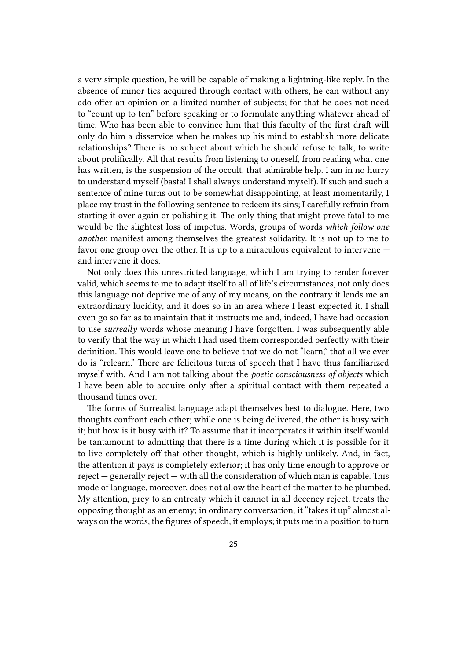a very simple question, he will be capable of making a lightning-like reply. In the absence of minor tics acquired through contact with others, he can without any ado offer an opinion on a limited number of subjects; for that he does not need to "count up to ten" before speaking or to formulate anything whatever ahead of time. Who has been able to convince him that this faculty of the first draft will only do him a disservice when he makes up his mind to establish more delicate relationships? There is no subject about which he should refuse to talk, to write about prolifically. All that results from listening to oneself, from reading what one has written, is the suspension of the occult, that admirable help. I am in no hurry to understand myself (basta! I shall always understand myself). If such and such a sentence of mine turns out to be somewhat disappointing, at least momentarily, I place my trust in the following sentence to redeem its sins; I carefully refrain from starting it over again or polishing it. The only thing that might prove fatal to me would be the slightest loss of impetus. Words, groups of words *which follow one another,* manifest among themselves the greatest solidarity. It is not up to me to favor one group over the other. It is up to a miraculous equivalent to intervene and intervene it does.

Not only does this unrestricted language, which I am trying to render forever valid, which seems to me to adapt itself to all of life's circumstances, not only does this language not deprive me of any of my means, on the contrary it lends me an extraordinary lucidity, and it does so in an area where I least expected it. I shall even go so far as to maintain that it instructs me and, indeed, I have had occasion to use *surreally* words whose meaning I have forgotten. I was subsequently able to verify that the way in which I had used them corresponded perfectly with their definition. This would leave one to believe that we do not "learn," that all we ever do is "relearn." There are felicitous turns of speech that I have thus familiarized myself with. And I am not talking about the *poetic consciousness of objects* which I have been able to acquire only after a spiritual contact with them repeated a thousand times over.

The forms of Surrealist language adapt themselves best to dialogue. Here, two thoughts confront each other; while one is being delivered, the other is busy with it; but how is it busy with it? To assume that it incorporates it within itself would be tantamount to admitting that there is a time during which it is possible for it to live completely off that other thought, which is highly unlikely. And, in fact, the attention it pays is completely exterior; it has only time enough to approve or reject — generally reject — with all the consideration of which man is capable. This mode of language, moreover, does not allow the heart of the matter to be plumbed. My attention, prey to an entreaty which it cannot in all decency reject, treats the opposing thought as an enemy; in ordinary conversation, it "takes it up" almost always on the words, the figures of speech, it employs; it puts me in a position to turn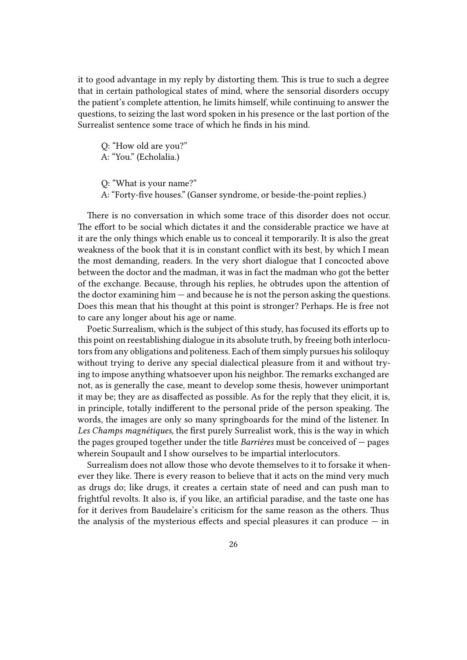it to good advantage in my reply by distorting them. This is true to such a degree that in certain pathological states of mind, where the sensorial disorders occupy the patient's complete attention, he limits himself, while continuing to answer the questions, to seizing the last word spoken in his presence or the last portion of the Surrealist sentence some trace of which he finds in his mind.

Q: "How old are you?" A: "You." (Echolalia.)

Q: "What is your name?"

A: "Forty-five houses." (Ganser syndrome, or beside-the-point replies.)

There is no conversation in which some trace of this disorder does not occur. The effort to be social which dictates it and the considerable practice we have at it are the only things which enable us to conceal it temporarily. It is also the great weakness of the book that it is in constant conflict with its best, by which I mean the most demanding, readers. In the very short dialogue that I concocted above between the doctor and the madman, it was in fact the madman who got the better of the exchange. Because, through his replies, he obtrudes upon the attention of the doctor examining him — and because he is not the person asking the questions. Does this mean that his thought at this point is stronger? Perhaps. He is free not to care any longer about his age or name.

Poetic Surrealism, which is the subject of this study, has focused its efforts up to this point on reestablishing dialogue in its absolute truth, by freeing both interlocutors from any obligations and politeness. Each of them simply pursues his soliloquy without trying to derive any special dialectical pleasure from it and without trying to impose anything whatsoever upon his neighbor. The remarks exchanged are not, as is generally the case, meant to develop some thesis, however unimportant it may be; they are as disaffected as possible. As for the reply that they elicit, it is, in principle, totally indifferent to the personal pride of the person speaking. The words, the images are only so many springboards for the mind of the listener. In *Les Champs magnétiques,* the first purely Surrealist work, this is the way in which the pages grouped together under the title *Barrières* must be conceived of — pages wherein Soupault and I show ourselves to be impartial interlocutors.

Surrealism does not allow those who devote themselves to it to forsake it whenever they like. There is every reason to believe that it acts on the mind very much as drugs do; like drugs, it creates a certain state of need and can push man to frightful revolts. It also is, if you like, an artificial paradise, and the taste one has for it derives from Baudelaire's criticism for the same reason as the others. Thus the analysis of the mysterious effects and special pleasures it can produce  $-$  in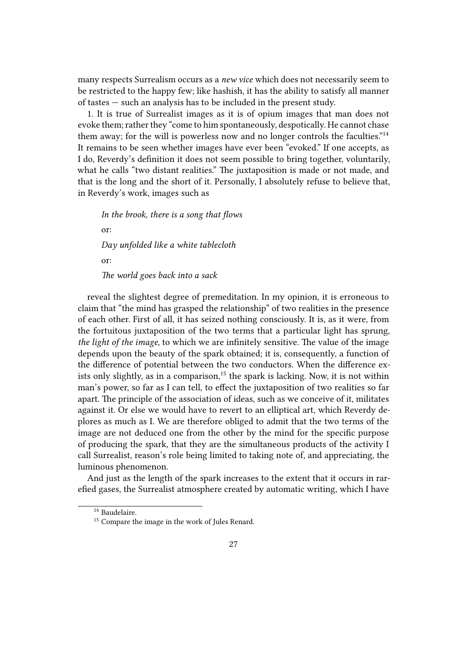many respects Surrealism occurs as a *new vice* which does not necessarily seem to be restricted to the happy few; like hashish, it has the ability to satisfy all manner of tastes — such an analysis has to be included in the present study.

1. It is true of Surrealist images as it is of opium images that man does not evoke them; rather they "come to him spontaneously, despotically. He cannot chase them away; for the will is powerless now and no longer controls the faculties."<sup>14</sup> It remains to be seen whether images have ever been "evoked." If one accepts, as I do, Reverdy's definition it does not seem possible to bring together, voluntarily, what he calls "two distant realities." The juxtaposition is made or not made, and that is the long and the short of it. Personally, I absolutely refuse to believe that, in Reverdy's work, images such as

*In the brook, there is a song that flows* or: *Day unfolded like a white tablecloth* or: *The world goes back into a sack*

reveal the slightest degree of premeditation. In my opinion, it is erroneous to claim that "the mind has grasped the relationship" of two realities in the presence of each other. First of all, it has seized nothing consciously. It is, as it were, from the fortuitous juxtaposition of the two terms that a particular light has sprung, *the light of the image,* to which we are infinitely sensitive. The value of the image depends upon the beauty of the spark obtained; it is, consequently, a function of the difference of potential between the two conductors. When the difference exists only slightly, as in a comparison,<sup>15</sup> the spark is lacking. Now, it is not within man's power, so far as I can tell, to effect the juxtaposition of two realities so far apart. The principle of the association of ideas, such as we conceive of it, militates against it. Or else we would have to revert to an elliptical art, which Reverdy deplores as much as I. We are therefore obliged to admit that the two terms of the image are not deduced one from the other by the mind for the specific purpose of producing the spark, that they are the simultaneous products of the activity I call Surrealist, reason's role being limited to taking note of, and appreciating, the luminous phenomenon.

And just as the length of the spark increases to the extent that it occurs in rarefied gases, the Surrealist atmosphere created by automatic writing, which I have

 $14$  Baudelaire.

<sup>&</sup>lt;sup>15</sup> Compare the image in the work of Jules Renard.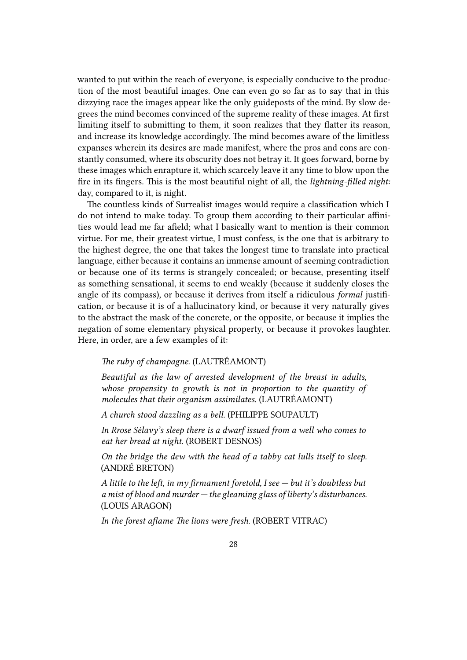wanted to put within the reach of everyone, is especially conducive to the production of the most beautiful images. One can even go so far as to say that in this dizzying race the images appear like the only guideposts of the mind. By slow degrees the mind becomes convinced of the supreme reality of these images. At first limiting itself to submitting to them, it soon realizes that they flatter its reason, and increase its knowledge accordingly. The mind becomes aware of the limitless expanses wherein its desires are made manifest, where the pros and cons are constantly consumed, where its obscurity does not betray it. It goes forward, borne by these images which enrapture it, which scarcely leave it any time to blow upon the fire in its fingers. This is the most beautiful night of all, the *lightning-filled night:* day, compared to it, is night.

The countless kinds of Surrealist images would require a classification which I do not intend to make today. To group them according to their particular affinities would lead me far afield; what I basically want to mention is their common virtue. For me, their greatest virtue, I must confess, is the one that is arbitrary to the highest degree, the one that takes the longest time to translate into practical language, either because it contains an immense amount of seeming contradiction or because one of its terms is strangely concealed; or because, presenting itself as something sensational, it seems to end weakly (because it suddenly closes the angle of its compass), or because it derives from itself a ridiculous *formal* justification, or because it is of a hallucinatory kind, or because it very naturally gives to the abstract the mask of the concrete, or the opposite, or because it implies the negation of some elementary physical property, or because it provokes laughter. Here, in order, are a few examples of it:

#### *The ruby of champagne.* (LAUTRÉAMONT)

*Beautiful as the law of arrested development of the breast in adults, whose propensity to growth is not in proportion to the quantity of molecules that their organism assimilates.* (LAUTRÉAMONT)

*A church stood dazzling as a bell.* (PHILIPPE SOUPAULT)

*In Rrose Sélavy's sleep there is a dwarf issued from a well who comes to eat her bread at night.* (ROBERT DESNOS)

*On the bridge the dew with the head of a tabby cat lulls itself to sleep.* (ANDRÉ BRETON)

*A little to the left, in my firmament foretold, I see — but it's doubtless but a mist of blood and murder — the gleaming glass of liberty's disturbances.* (LOUIS ARAGON)

*In the forest aflame The lions were fresh.* (ROBERT VITRAC)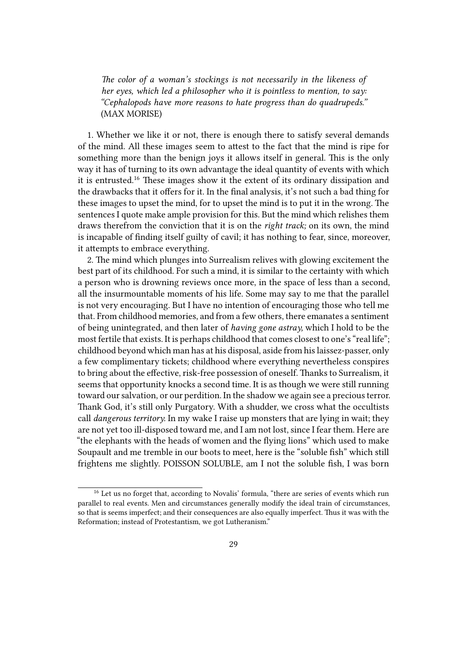*The color of a woman's stockings is not necessarily in the likeness of her eyes, which led a philosopher who it is pointless to mention, to say: "Cephalopods have more reasons to hate progress than do quadrupeds."* (MAX MORISE)

1. Whether we like it or not, there is enough there to satisfy several demands of the mind. All these images seem to attest to the fact that the mind is ripe for something more than the benign joys it allows itself in general. This is the only way it has of turning to its own advantage the ideal quantity of events with which it is entrusted.<sup>16</sup> These images show it the extent of its ordinary dissipation and the drawbacks that it offers for it. In the final analysis, it's not such a bad thing for these images to upset the mind, for to upset the mind is to put it in the wrong. The sentences I quote make ample provision for this. But the mind which relishes them draws therefrom the conviction that it is on the *right track;* on its own, the mind is incapable of finding itself guilty of cavil; it has nothing to fear, since, moreover, it attempts to embrace everything.

2. The mind which plunges into Surrealism relives with glowing excitement the best part of its childhood. For such a mind, it is similar to the certainty with which a person who is drowning reviews once more, in the space of less than a second, all the insurmountable moments of his life. Some may say to me that the parallel is not very encouraging. But I have no intention of encouraging those who tell me that. From childhood memories, and from a few others, there emanates a sentiment of being unintegrated, and then later of *having gone astray,* which I hold to be the most fertile that exists. It is perhaps childhood that comes closest to one's "real life"; childhood beyond which man has at his disposal, aside from his laissez-passer, only a few complimentary tickets; childhood where everything nevertheless conspires to bring about the effective, risk-free possession of oneself. Thanks to Surrealism, it seems that opportunity knocks a second time. It is as though we were still running toward our salvation, or our perdition. In the shadow we again see a precious terror. Thank God, it's still only Purgatory. With a shudder, we cross what the occultists call *dangerous territory.* In my wake I raise up monsters that are lying in wait; they are not yet too ill-disposed toward me, and I am not lost, since I fear them. Here are "the elephants with the heads of women and the flying lions" which used to make Soupault and me tremble in our boots to meet, here is the "soluble fish" which still frightens me slightly. POISSON SOLUBLE, am I not the soluble fish, I was born

<sup>&</sup>lt;sup>16</sup> Let us no forget that, according to Novalis' formula, "there are series of events which run parallel to real events. Men and circumstances generally modify the ideal train of circumstances, so that is seems imperfect; and their consequences are also equally imperfect. Thus it was with the Reformation; instead of Protestantism, we got Lutheranism."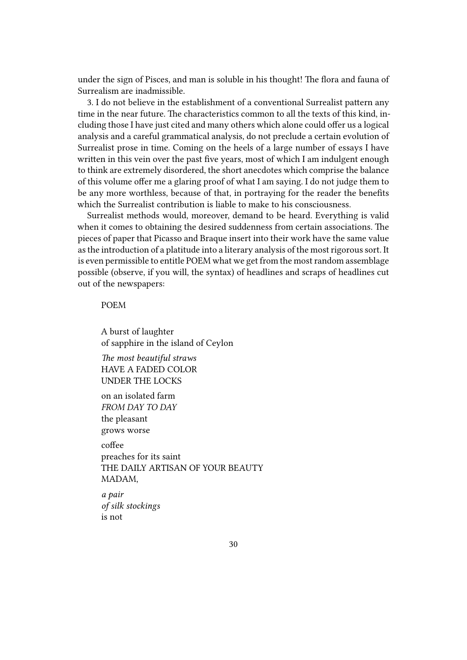under the sign of Pisces, and man is soluble in his thought! The flora and fauna of Surrealism are inadmissible.

3. I do not believe in the establishment of a conventional Surrealist pattern any time in the near future. The characteristics common to all the texts of this kind, including those I have just cited and many others which alone could offer us a logical analysis and a careful grammatical analysis, do not preclude a certain evolution of Surrealist prose in time. Coming on the heels of a large number of essays I have written in this vein over the past five years, most of which I am indulgent enough to think are extremely disordered, the short anecdotes which comprise the balance of this volume offer me a glaring proof of what I am saying. I do not judge them to be any more worthless, because of that, in portraying for the reader the benefits which the Surrealist contribution is liable to make to his consciousness.

Surrealist methods would, moreover, demand to be heard. Everything is valid when it comes to obtaining the desired suddenness from certain associations. The pieces of paper that Picasso and Braque insert into their work have the same value as the introduction of a platitude into a literary analysis of the most rigorous sort. It is even permissible to entitle POEM what we get from the most random assemblage possible (observe, if you will, the syntax) of headlines and scraps of headlines cut out of the newspapers:

#### POEM

A burst of laughter of sapphire in the island of Ceylon

*The most beautiful straws* HAVE A FADED COLOR UNDER THE LOCKS

on an isolated farm *FROM DAY TO DAY* the pleasant grows worse

coffee preaches for its saint THE DAILY ARTISAN OF YOUR BEAUTY MADAM,

*a pair of silk stockings* is not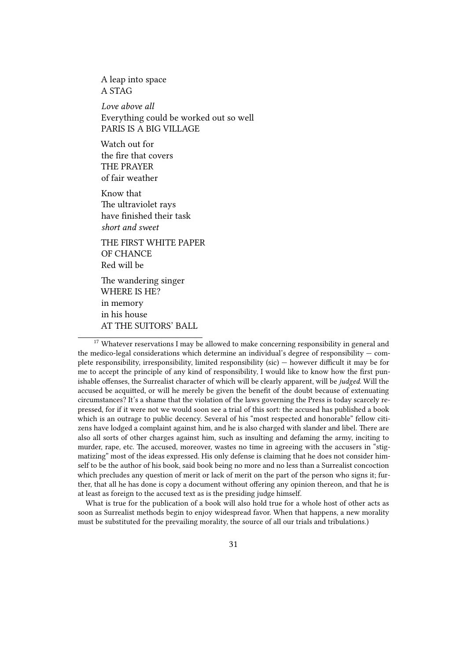A leap into space A STAG

*Love above all* Everything could be worked out so well PARIS IS A BIG VILLAGE

Watch out for the fire that covers THE PRAYER of fair weather

Know that The ultraviolet rays have finished their task *short and sweet*

THE FIRST WHITE PAPER OF CHANCE Red will be

The wandering singer WHERE IS HE? in memory in his house AT THE SUITORS' BALL

What is true for the publication of a book will also hold true for a whole host of other acts as soon as Surrealist methods begin to enjoy widespread favor. When that happens, a new morality must be substituted for the prevailing morality, the source of all our trials and tribulations.)

<sup>&</sup>lt;sup>17</sup> Whatever reservations I may be allowed to make concerning responsibility in general and the medico-legal considerations which determine an individual's degree of responsibility — complete responsibility, irresponsibility, limited responsibility (sic) — however difficult it may be for me to accept the principle of any kind of responsibility, I would like to know how the first punishable offenses, the Surrealist character of which will be clearly apparent, will be *judged.* Will the accused be acquitted, or will he merely be given the benefit of the doubt because of extenuating circumstances? It's a shame that the violation of the laws governing the Press is today scarcely repressed, for if it were not we would soon see a trial of this sort: the accused has published a book which is an outrage to public decency. Several of his "most respected and honorable" fellow citizens have lodged a complaint against him, and he is also charged with slander and libel. There are also all sorts of other charges against him, such as insulting and defaming the army, inciting to murder, rape, etc. The accused, moreover, wastes no time in agreeing with the accusers in "stigmatizing" most of the ideas expressed. His only defense is claiming that he does not consider himself to be the author of his book, said book being no more and no less than a Surrealist concoction which precludes any question of merit or lack of merit on the part of the person who signs it; further, that all he has done is copy a document without offering any opinion thereon, and that he is at least as foreign to the accused text as is the presiding judge himself.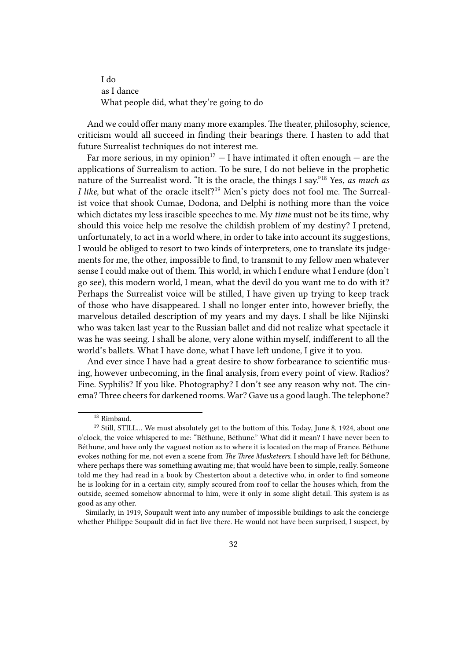I do as I dance What people did, what they're going to do

And we could offer many many more examples. The theater, philosophy, science, criticism would all succeed in finding their bearings there. I hasten to add that future Surrealist techniques do not interest me.

Far more serious, in my opinion<sup>17</sup> – I have intimated it often enough – are the applications of Surrealism to action. To be sure, I do not believe in the prophetic nature of the Surrealist word. "It is the oracle, the things I say."<sup>18</sup> Yes, *as much as I like*, but what of the oracle itself?<sup>19</sup> Men's piety does not fool me. The Surrealist voice that shook Cumae, Dodona, and Delphi is nothing more than the voice which dictates my less irascible speeches to me. My *time* must not be its time, why should this voice help me resolve the childish problem of my destiny? I pretend, unfortunately, to act in a world where, in order to take into account its suggestions, I would be obliged to resort to two kinds of interpreters, one to translate its judgements for me, the other, impossible to find, to transmit to my fellow men whatever sense I could make out of them. This world, in which I endure what I endure (don't go see), this modern world, I mean, what the devil do you want me to do with it? Perhaps the Surrealist voice will be stilled, I have given up trying to keep track of those who have disappeared. I shall no longer enter into, however briefly, the marvelous detailed description of my years and my days. I shall be like Nijinski who was taken last year to the Russian ballet and did not realize what spectacle it was he was seeing. I shall be alone, very alone within myself, indifferent to all the world's ballets. What I have done, what I have left undone, I give it to you.

And ever since I have had a great desire to show forbearance to scientific musing, however unbecoming, in the final analysis, from every point of view. Radios? Fine. Syphilis? If you like. Photography? I don't see any reason why not. The cinema? Three cheers for darkened rooms. War? Gave us a good laugh. The telephone?

<sup>18</sup> Rimbaud.

<sup>19</sup> Still, STILL… We must absolutely get to the bottom of this. Today, June 8, 1924, about one o'clock, the voice whispered to me: "Béthune, Béthune." What did it mean? I have never been to Béthune, and have only the vaguest notion as to where it is located on the map of France. Béthune evokes nothing for me, not even a scene from *The Three Musketeers.* I should have left for Béthune, where perhaps there was something awaiting me; that would have been to simple, really. Someone told me they had read in a book by Chesterton about a detective who, in order to find someone he is looking for in a certain city, simply scoured from roof to cellar the houses which, from the outside, seemed somehow abnormal to him, were it only in some slight detail. This system is as good as any other.

Similarly, in 1919, Soupault went into any number of impossible buildings to ask the concierge whether Philippe Soupault did in fact live there. He would not have been surprised, I suspect, by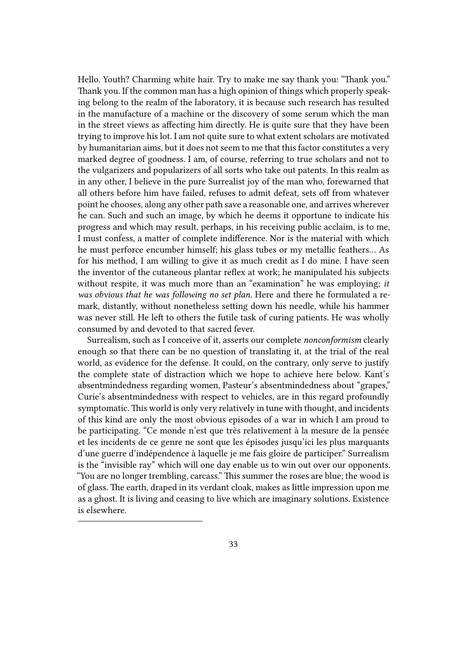Hello. Youth? Charming white hair. Try to make me say thank you: "Thank you." Thank you. If the common man has a high opinion of things which properly speaking belong to the realm of the laboratory, it is because such research has resulted in the manufacture of a machine or the discovery of some serum which the man in the street views as affecting him directly. He is quite sure that they have been trying to improve his lot. I am not quite sure to what extent scholars are motivated by humanitarian aims, but it does not seem to me that this factor constitutes a very marked degree of goodness. I am, of course, referring to true scholars and not to the vulgarizers and popularizers of all sorts who take out patents. In this realm as in any other, I believe in the pure Surrealist joy of the man who, forewarned that all others before him have failed, refuses to admit defeat, sets off from whatever point he chooses, along any other path save a reasonable one, and arrives wherever he can. Such and such an image, by which he deems it opportune to indicate his progress and which may result, perhaps, in his receiving public acclaim, is to me, I must confess, a matter of complete indifference. Nor is the material with which he must perforce encumber himself; his glass tubes or my metallic feathers… As for his method, I am willing to give it as much credit as I do mine. I have seen the inventor of the cutaneous plantar reflex at work; he manipulated his subjects without respite, it was much more than an "examination" he was employing; *it was obvious that he was following no set plan.* Here and there he formulated a remark, distantly, without nonetheless setting down his needle, while his hammer was never still. He left to others the futile task of curing patients. He was wholly consumed by and devoted to that sacred fever.

Surrealism, such as I conceive of it, asserts our complete *nonconformism* clearly enough so that there can be no question of translating it, at the trial of the real world, as evidence for the defense. It could, on the contrary, only serve to justify the complete state of distraction which we hope to achieve here below. Kant's absentmindedness regarding women, Pasteur's absentmindedness about "grapes," Curie's absentmindedness with respect to vehicles, are in this regard profoundly symptomatic. This world is only very relatively in tune with thought, and incidents of this kind are only the most obvious episodes of a war in which I am proud to be participating. "Ce monde n'est que très relativement à la mesure de la pensée et les incidents de ce genre ne sont que les épisodes jusqu'ici les plus marquants d'une guerre d'indépendence à laquelle je me fais gloire de participer." Surrealism is the "invisible ray" which will one day enable us to win out over our opponents. "You are no longer trembling, carcass." This summer the roses are blue; the wood is of glass. The earth, draped in its verdant cloak, makes as little impression upon me as a ghost. It is living and ceasing to live which are imaginary solutions. Existence is elsewhere.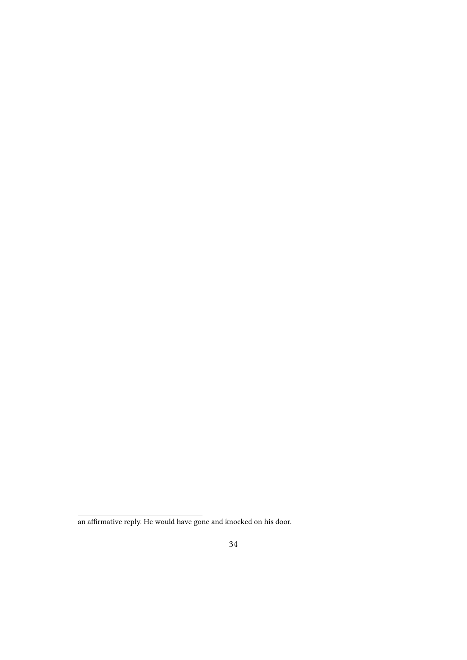an affirmative reply. He would have gone and knocked on his door.